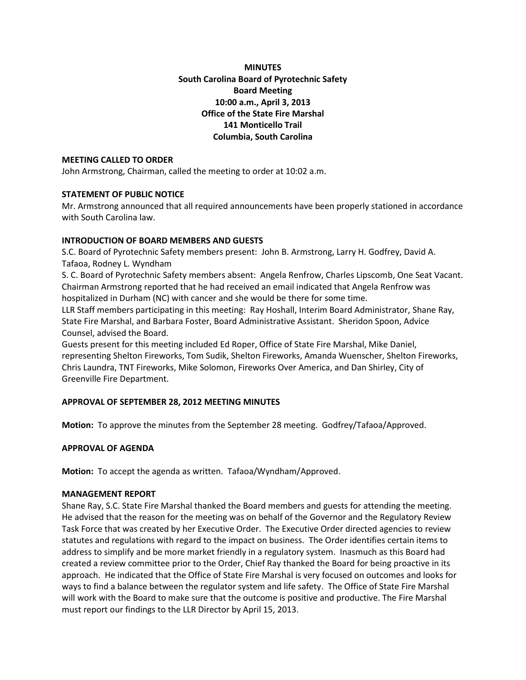**MINUTES South Carolina Board of Pyrotechnic Safety Board Meeting 10:00 a.m., April 3, 2013 Office of the State Fire Marshal 141 Monticello Trail Columbia, South Carolina**

# **MEETING CALLED TO ORDER**

John Armstrong, Chairman, called the meeting to order at 10:02 a.m.

## **STATEMENT OF PUBLIC NOTICE**

Mr. Armstrong announced that all required announcements have been properly stationed in accordance with South Carolina law.

## **INTRODUCTION OF BOARD MEMBERS AND GUESTS**

S.C. Board of Pyrotechnic Safety members present: John B. Armstrong, Larry H. Godfrey, David A. Tafaoa, Rodney L. Wyndham

S. C. Board of Pyrotechnic Safety members absent: Angela Renfrow, Charles Lipscomb, One Seat Vacant. Chairman Armstrong reported that he had received an email indicated that Angela Renfrow was hospitalized in Durham (NC) with cancer and she would be there for some time.

LLR Staff members participating in this meeting: Ray Hoshall, Interim Board Administrator, Shane Ray, State Fire Marshal, and Barbara Foster, Board Administrative Assistant. Sheridon Spoon, Advice Counsel, advised the Board.

Guests present for this meeting included Ed Roper, Office of State Fire Marshal, Mike Daniel, representing Shelton Fireworks, Tom Sudik, Shelton Fireworks, Amanda Wuenscher, Shelton Fireworks, Chris Laundra, TNT Fireworks, Mike Solomon, Fireworks Over America, and Dan Shirley, City of Greenville Fire Department.

# **APPROVAL OF SEPTEMBER 28, 2012 MEETING MINUTES**

**Motion:** To approve the minutes from the September 28 meeting. Godfrey/Tafaoa/Approved.

### **APPROVAL OF AGENDA**

**Motion:** To accept the agenda as written. Tafaoa/Wyndham/Approved.

### **MANAGEMENT REPORT**

Shane Ray, S.C. State Fire Marshal thanked the Board members and guests for attending the meeting. He advised that the reason for the meeting was on behalf of the Governor and the Regulatory Review Task Force that was created by her Executive Order. The Executive Order directed agencies to review statutes and regulations with regard to the impact on business. The Order identifies certain items to address to simplify and be more market friendly in a regulatory system. Inasmuch as this Board had created a review committee prior to the Order, Chief Ray thanked the Board for being proactive in its approach. He indicated that the Office of State Fire Marshal is very focused on outcomes and looks for ways to find a balance between the regulator system and life safety. The Office of State Fire Marshal will work with the Board to make sure that the outcome is positive and productive. The Fire Marshal must report our findings to the LLR Director by April 15, 2013.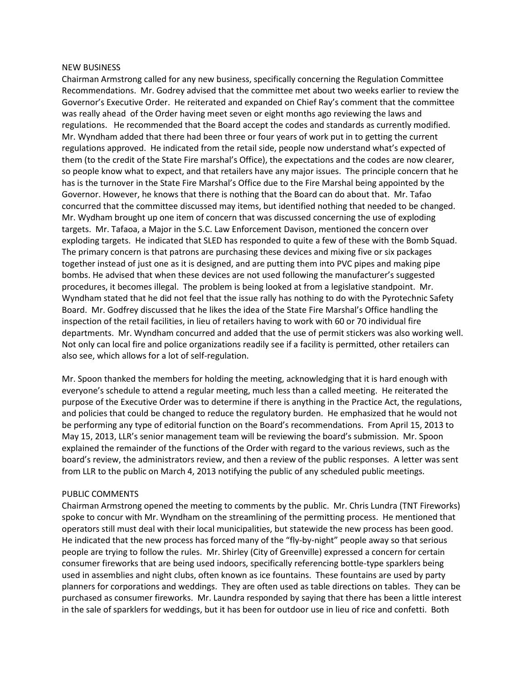#### NEW BUSINESS

Chairman Armstrong called for any new business, specifically concerning the Regulation Committee Recommendations. Mr. Godrey advised that the committee met about two weeks earlier to review the Governor's Executive Order. He reiterated and expanded on Chief Ray's comment that the committee was really ahead of the Order having meet seven or eight months ago reviewing the laws and regulations. He recommended that the Board accept the codes and standards as currently modified. Mr. Wyndham added that there had been three or four years of work put in to getting the current regulations approved. He indicated from the retail side, people now understand what's expected of them (to the credit of the State Fire marshal's Office), the expectations and the codes are now clearer, so people know what to expect, and that retailers have any major issues. The principle concern that he has is the turnover in the State Fire Marshal's Office due to the Fire Marshal being appointed by the Governor. However, he knows that there is nothing that the Board can do about that. Mr. Tafao concurred that the committee discussed may items, but identified nothing that needed to be changed. Mr. Wydham brought up one item of concern that was discussed concerning the use of exploding targets. Mr. Tafaoa, a Major in the S.C. Law Enforcement Davison, mentioned the concern over exploding targets. He indicated that SLED has responded to quite a few of these with the Bomb Squad. The primary concern is that patrons are purchasing these devices and mixing five or six packages together instead of just one as it is designed, and are putting them into PVC pipes and making pipe bombs. He advised that when these devices are not used following the manufacturer's suggested procedures, it becomes illegal. The problem is being looked at from a legislative standpoint. Mr. Wyndham stated that he did not feel that the issue rally has nothing to do with the Pyrotechnic Safety Board. Mr. Godfrey discussed that he likes the idea of the State Fire Marshal's Office handling the inspection of the retail facilities, in lieu of retailers having to work with 60 or 70 individual fire departments. Mr. Wyndham concurred and added that the use of permit stickers was also working well. Not only can local fire and police organizations readily see if a facility is permitted, other retailers can also see, which allows for a lot of self-regulation.

Mr. Spoon thanked the members for holding the meeting, acknowledging that it is hard enough with everyone's schedule to attend a regular meeting, much less than a called meeting. He reiterated the purpose of the Executive Order was to determine if there is anything in the Practice Act, the regulations, and policies that could be changed to reduce the regulatory burden. He emphasized that he would not be performing any type of editorial function on the Board's recommendations. From April 15, 2013 to May 15, 2013, LLR's senior management team will be reviewing the board's submission. Mr. Spoon explained the remainder of the functions of the Order with regard to the various reviews, such as the board's review, the administrators review, and then a review of the public responses. A letter was sent from LLR to the public on March 4, 2013 notifying the public of any scheduled public meetings.

### PUBLIC COMMENTS

Chairman Armstrong opened the meeting to comments by the public. Mr. Chris Lundra (TNT Fireworks) spoke to concur with Mr. Wyndham on the streamlining of the permitting process. He mentioned that operators still must deal with their local municipalities, but statewide the new process has been good. He indicated that the new process has forced many of the "fly-by-night" people away so that serious people are trying to follow the rules. Mr. Shirley (City of Greenville) expressed a concern for certain consumer fireworks that are being used indoors, specifically referencing bottle-type sparklers being used in assemblies and night clubs, often known as ice fountains. These fountains are used by party planners for corporations and weddings. They are often used as table directions on tables. They can be purchased as consumer fireworks. Mr. Laundra responded by saying that there has been a little interest in the sale of sparklers for weddings, but it has been for outdoor use in lieu of rice and confetti. Both